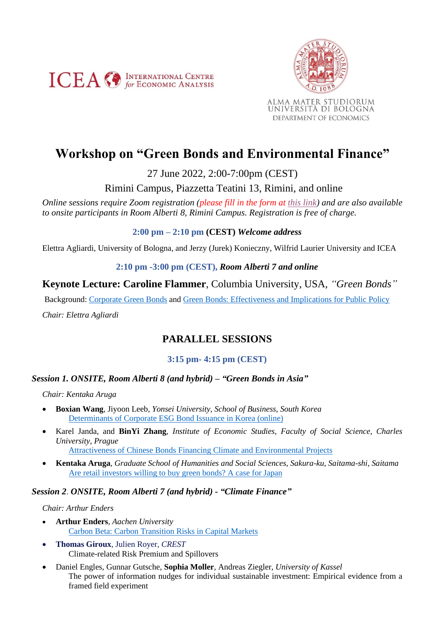



# **Workshop on "Green Bonds and Environmental Finance"**

27 June 2022, 2:00-7:00pm (CEST)

Rimini Campus, Piazzetta Teatini 13, Rimini, and online

*Online sessions require Zoom registration (please fill in the form at [this link\)](https://form.jotform.com/220866719898275) and are also available to onsite participants in Room Alberti 8, Rimini Campus. Registration is free of charge.*

# **2:00 pm – 2:10 pm (CEST)** *Welcome address*

Elettra Agliardi, University of Bologna, and Jerzy (Jurek) Konieczny, Wilfrid Laurier University and ICEA

# **2:10 pm -3:00 pm (CEST),** *Room Alberti 7 and online*

**Keynote Lecture: Caroline Flammer**, Columbia University, USA, *"Green Bonds"*

Background: [Corporate Green Bonds](https://www.sciencedirect.com/science/article/abs/pii/S0304405X21000337?via%3Dihub) and [Green Bonds: Effectiveness and Implications for Public Policy](https://www.nber.org/papers/w25950) *Chair: Elettra Agliardi*

# **PARALLEL SESSIONS**

# **3:15 pm- 4:15 pm (CEST)**

# *Session 1. ONSITE, Room Alberti 8 (and hybrid) – "Green Bonds in Asia"*

*Chair: Kentaka Aruga*

- **Boxian Wang**, Jiyoon Leeb, *Yonsei University, School of Business, South Korea* [Determinants of Corporate ESG Bond Issuance in](https://iceanet.org/wp-content/uploads/2022/06/BOXIAN-WANG.pdf) Korea (online)
- Karel Janda, and **BinYi Zhang**, *Institute of Economic Studies, Faculty of Social Science, Charles University, Prague*

[Attractiveness of Chinese Bonds Financing Climate and Environmental Projects](https://iceanet.org/wp-content/uploads/2022/06/Zhang.pdf)

• **Kentaka Aruga**, *Graduate School of Humanities and Social Sciences, Sakura-ku, Saitama-shi, Saitama* [Are retail investors willing to buy green bonds? A case for Japan](https://iceanet.org/wp-content/uploads/2022/06/Aruga_2022_GBworkshop.pdf)

# *Session 2*. *ONSITE, Room Alberti 7 (and hybrid) - "Climate Finance"*

#### *Chair: Arthur Enders*

- **Arthur Enders**, *Aachen University* [Carbon Beta: Carbon Transition Risks in Capital Markets](https://iceanet.org/wp-content/uploads/2022/06/Enders.pdf)
- **Thomas Giroux**, Julien Royer, *CREST* Climate-related Risk Premium and Spillovers
- Daniel Engles, Gunnar Gutsche, **Sophia Moller**, Andreas Ziegler, *University of Kassel* The power of information nudges for individual sustainable investment: Empirical evidence from a framed field experiment